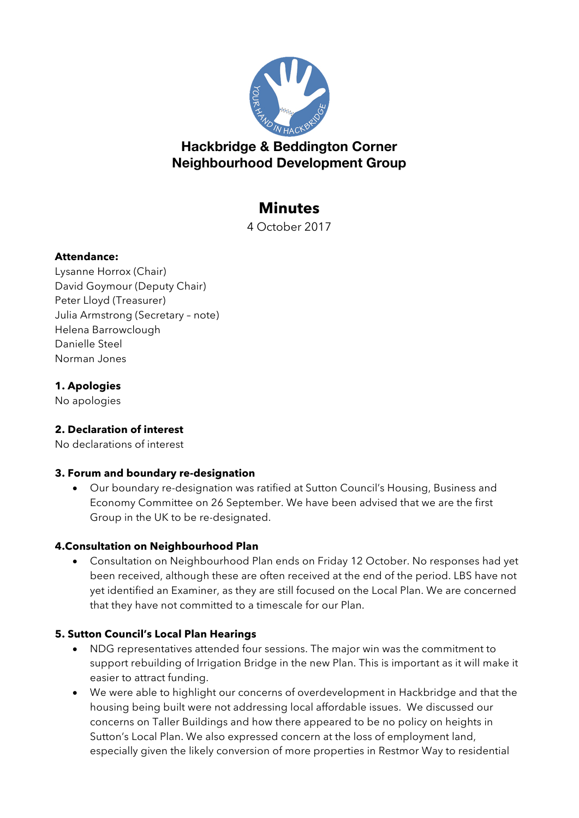

# **Hackbridge & Beddington Corner Neighbourhood Development Group**

# **Minutes**

4 October 2017

#### **Attendance:**

Lysanne Horrox (Chair) David Goymour (Deputy Chair) Peter Lloyd (Treasurer) Julia Armstrong (Secretary – note) Helena Barrowclough Danielle Steel Norman Jones

### **1. Apologies**

No apologies

#### **2. Declaration of interest**

No declarations of interest

#### **3. Forum and boundary re-designation**

• Our boundary re-designation was ratified at Sutton Council's Housing, Business and Economy Committee on 26 September. We have been advised that we are the first Group in the UK to be re-designated.

#### **4.Consultation on Neighbourhood Plan**

• Consultation on Neighbourhood Plan ends on Friday 12 October. No responses had yet been received, although these are often received at the end of the period. LBS have not yet identified an Examiner, as they are still focused on the Local Plan. We are concerned that they have not committed to a timescale for our Plan.

#### **5. Sutton Council's Local Plan Hearings**

- NDG representatives attended four sessions. The major win was the commitment to support rebuilding of Irrigation Bridge in the new Plan. This is important as it will make it easier to attract funding.
- We were able to highlight our concerns of overdevelopment in Hackbridge and that the housing being built were not addressing local affordable issues. We discussed our concerns on Taller Buildings and how there appeared to be no policy on heights in Sutton's Local Plan. We also expressed concern at the loss of employment land, especially given the likely conversion of more properties in Restmor Way to residential